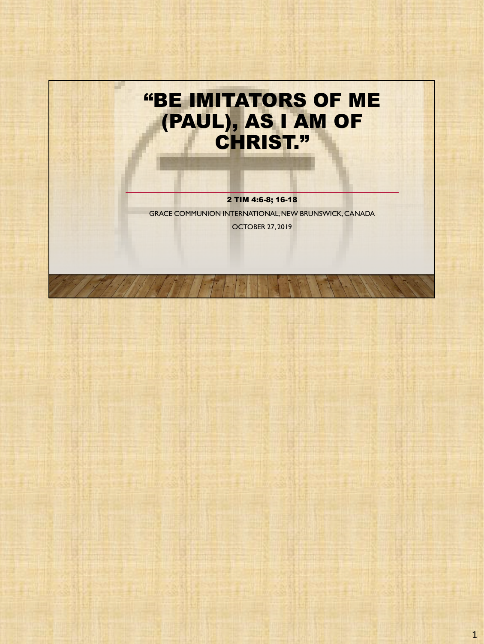

2 TIM 4:6-8; 16-18 GRACE COMMUNION INTERNATIONAL, NEW BRUNSWICK, CANADA OCTOBER 27, 2019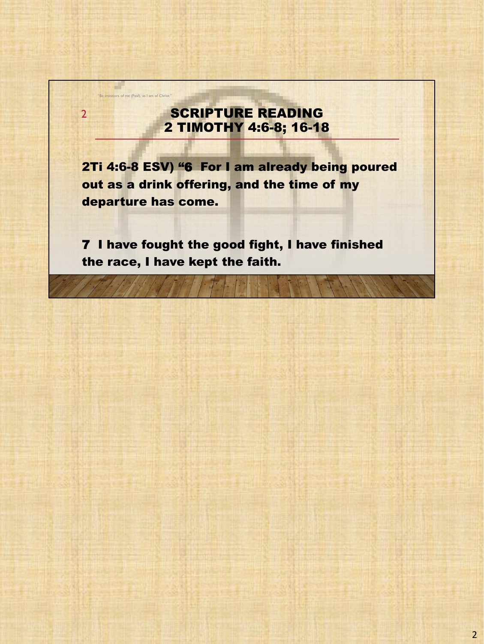## SCRIPTURE READING 2 TIMOTHY 4:6-8; 16-18

"Be imitators of me (Paul), as I am of Christ."

a ka

2

2Ti 4:6-8 ESV) "6 For I am already being poured out as a drink offering, and the time of my departure has come.

7 I have fought the good fight, I have finished the race, I have kept the faith.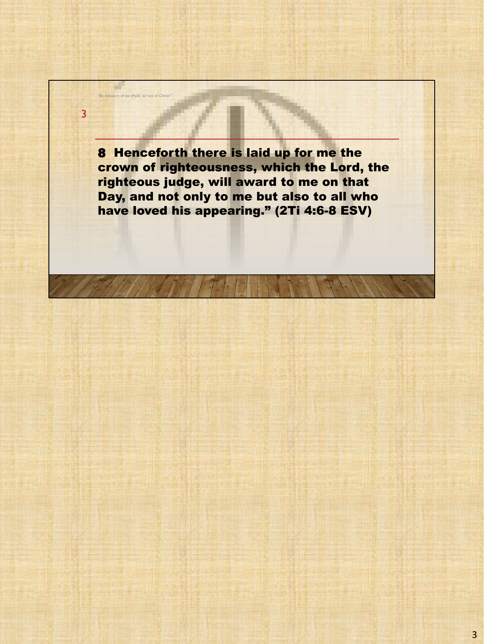8 Henceforth there is laid up for me the crown of righteousness, which the Lord, the righteous judge, will award to me on that Day, and not only to me but also to all who have loved his appearing." (2Ti 4:6-8 ESV)

"Be imitators of me (Paul), as I am of Christ."

3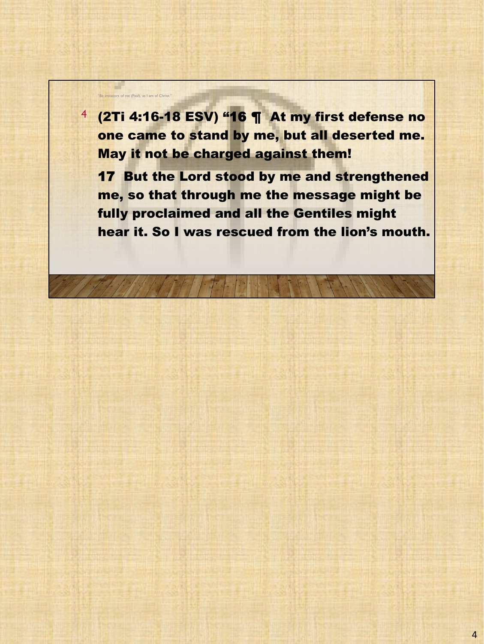$4$  (2Ti 4:16-18 ESV) "16  $\P$  At my first defense no one came to stand by me, but all deserted me. May it not be charged against them!

"Be imitators of me (Paul), as I am of Christ."

a.

**17 But the Lord stood by me and strengthened** me, so that through me the message might be fully proclaimed and all the Gentiles might hear it. So I was rescued from the lion's mouth.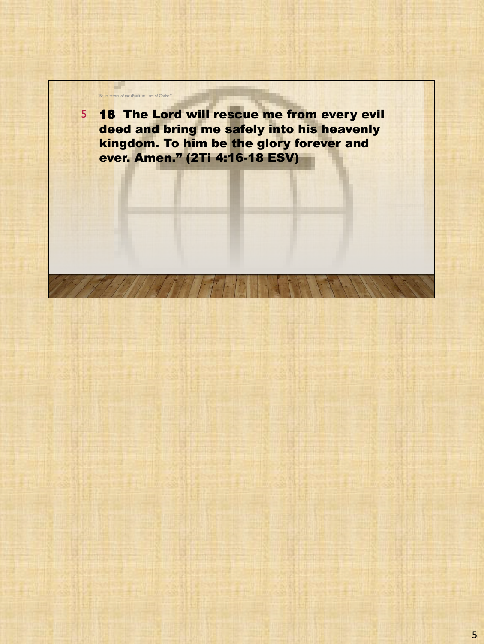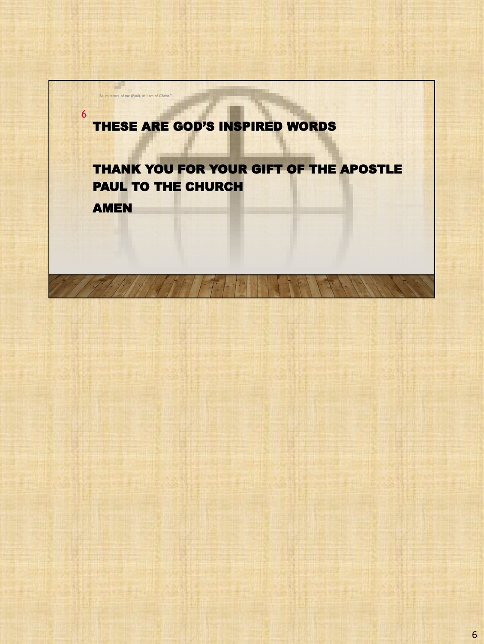## THESE ARE GOD'S INSPIRED WORDS

## THANK YOU FOR YOUR GIFT OF THE APOSTLE PAUL TO THE CHURCH

AMEN

6

"Be imitators of me (Paul), as I am of Christ."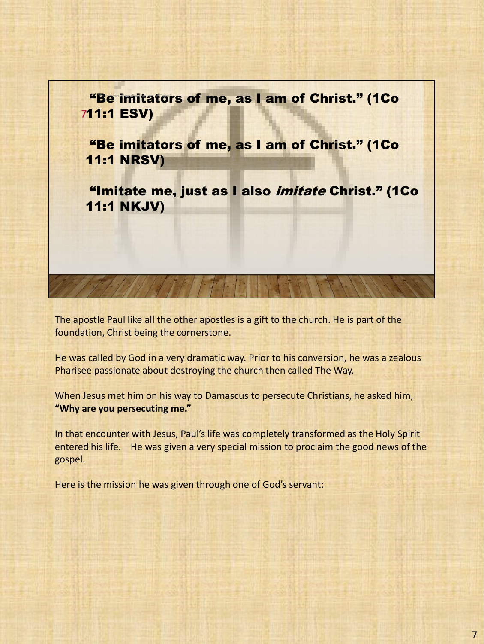

The apostle Paul like all the other apostles is a gift to the church. He is part of the foundation, Christ being the cornerstone.

He was called by God in a very dramatic way. Prior to his conversion, he was a zealous Pharisee passionate about destroying the church then called The Way.

When Jesus met him on his way to Damascus to persecute Christians, he asked him, **"Why are you persecuting me."**

In that encounter with Jesus, Paul's life was completely transformed as the Holy Spirit entered his life. He was given a very special mission to proclaim the good news of the gospel.

Here is the mission he was given through one of God's servant: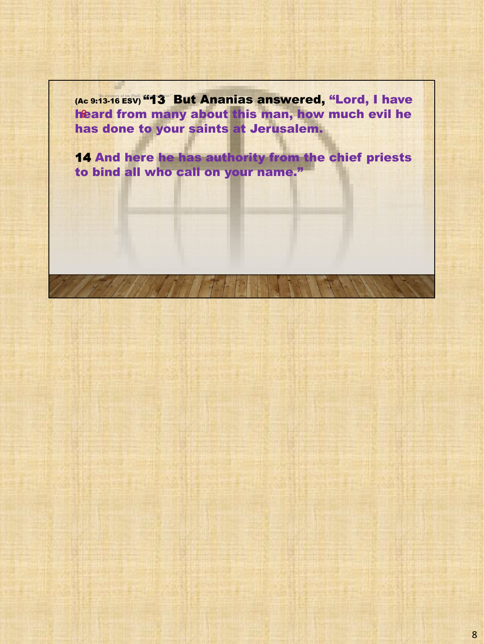(Ac 9:13-16 ESV) "13 But Ananias answered, "Lord, I have heard from many about this man, how much evil he has done to your saints at Jerusalem.

14 And here he has authority from the chief priests to bind all who call on your name."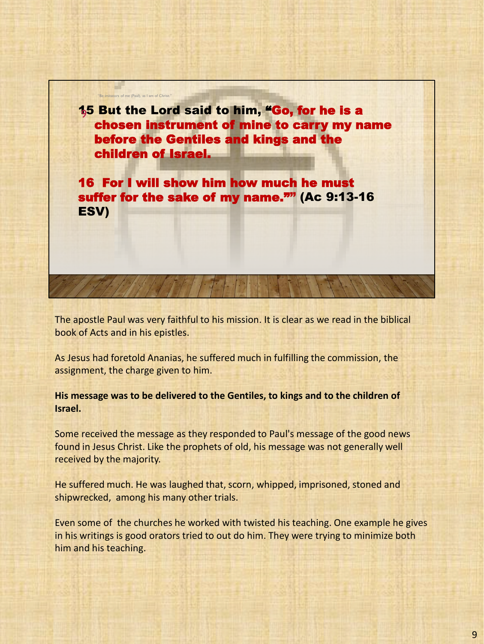**15 But the Lord said to him, "Go, for he is a** chosen instrument of mine to carry my name before the Gentiles and kings and the children of Israel.

"Be imitators of me (Paul), as I am of Christ."

16 For I will show him how much he must suffer for the sake of my name."" (Ac 9:13-16 ESV)

The apostle Paul was very faithful to his mission. It is clear as we read in the biblical book of Acts and in his epistles.

As Jesus had foretold Ananias, he suffered much in fulfilling the commission, the assignment, the charge given to him.

**His message was to be delivered to the Gentiles, to kings and to the children of Israel.**

Some received the message as they responded to Paul's message of the good news found in Jesus Christ. Like the prophets of old, his message was not generally well received by the majority.

He suffered much. He was laughed that, scorn, whipped, imprisoned, stoned and shipwrecked, among his many other trials.

Even some of the churches he worked with twisted his teaching. One example he gives in his writings is good orators tried to out do him. They were trying to minimize both him and his teaching.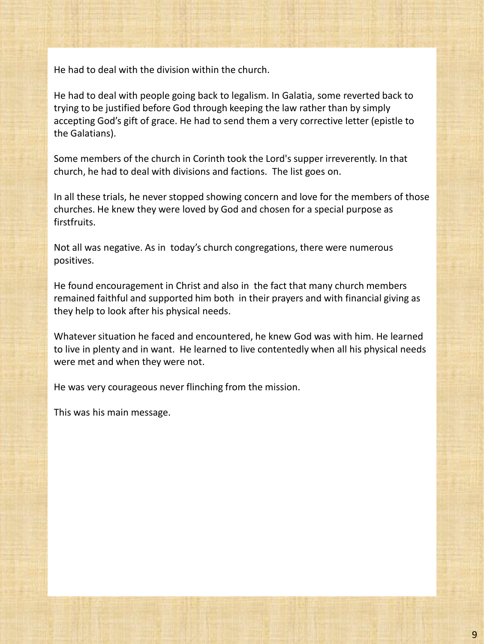He had to deal with the division within the church.

He had to deal with people going back to legalism. In Galatia, some reverted back to trying to be justified before God through keeping the law rather than by simply accepting God's gift of grace. He had to send them a very corrective letter (epistle to the Galatians).

Some members of the church in Corinth took the Lord's supper irreverently. In that church, he had to deal with divisions and factions. The list goes on.

In all these trials, he never stopped showing concern and love for the members of those churches. He knew they were loved by God and chosen for a special purpose as firstfruits.

Not all was negative. As in today's church congregations, there were numerous positives.

He found encouragement in Christ and also in the fact that many church members remained faithful and supported him both in their prayers and with financial giving as they help to look after his physical needs.

Whatever situation he faced and encountered, he knew God was with him. He learned to live in plenty and in want. He learned to live contentedly when all his physical needs were met and when they were not.

He was very courageous never flinching from the mission.

This was his main message.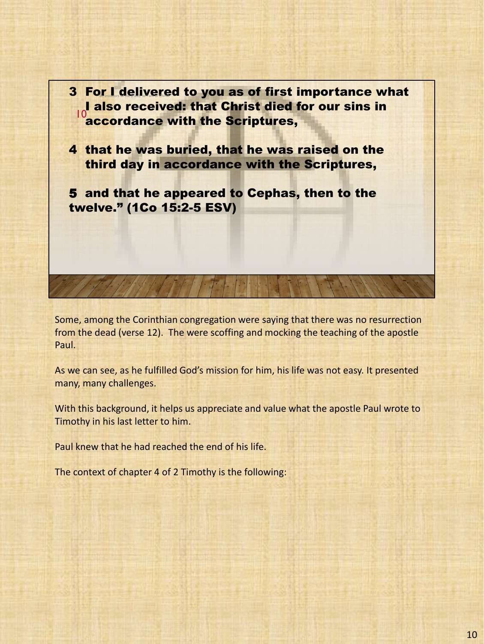

Some, among the Corinthian congregation were saying that there was no resurrection from the dead (verse 12). The were scoffing and mocking the teaching of the apostle Paul.

As we can see, as he fulfilled God's mission for him, his life was not easy. It presented many, many challenges.

With this background, it helps us appreciate and value what the apostle Paul wrote to Timothy in his last letter to him.

Paul knew that he had reached the end of his life.

The context of chapter 4 of 2 Timothy is the following: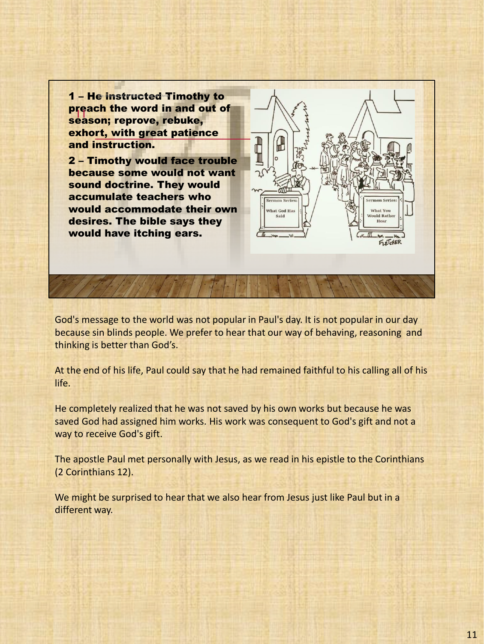1 – He instructed Timothy to preach the word in and out of pieach the word in and of<br>season; reprove, rebuke, exhort, with great patience and instruction.

2 – Timothy would face trouble because some would not want sound doctrine. They would accumulate teachers who would accommodate their own desires. The bible says they would have itching ears.



God's message to the world was not popular in Paul's day. It is not popular in our day because sin blinds people. We prefer to hear that our way of behaving, reasoning and thinking is better than God's.

At the end of his life, Paul could say that he had remained faithful to his calling all of his life.

He completely realized that he was not saved by his own works but because he was saved God had assigned him works. His work was consequent to God's gift and not a way to receive God's gift.

The apostle Paul met personally with Jesus, as we read in his epistle to the Corinthians (2 Corinthians 12).

We might be surprised to hear that we also hear from Jesus just like Paul but in a different way.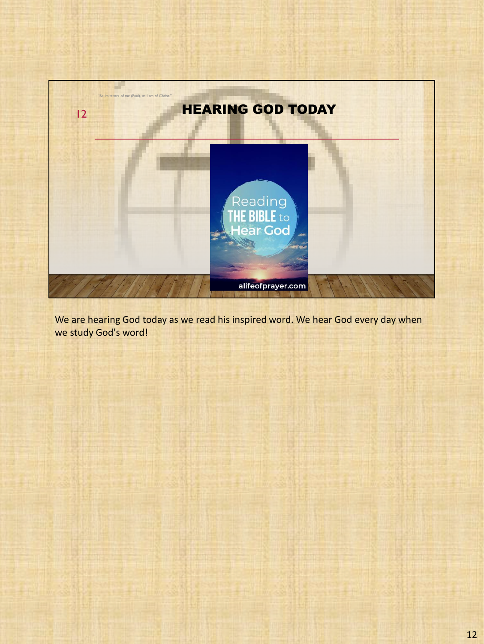

We are hearing God today as we read his inspired word. We hear God every day when we study God's word!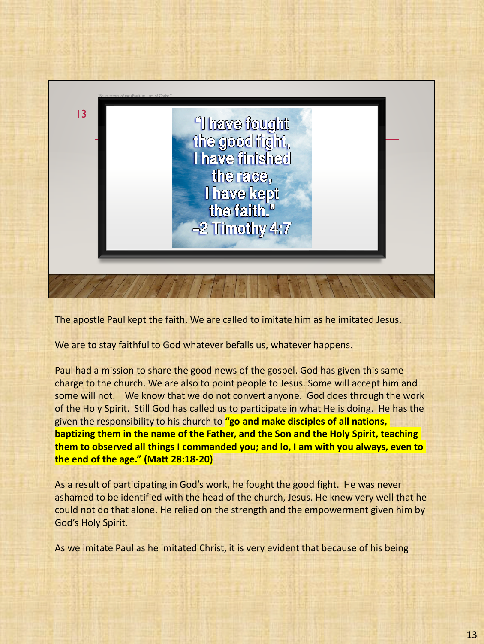

The apostle Paul kept the faith. We are called to imitate him as he imitated Jesus.

We are to stay faithful to God whatever befalls us, whatever happens.

Paul had a mission to share the good news of the gospel. God has given this same charge to the church. We are also to point people to Jesus. Some will accept him and some will not. We know that we do not convert anyone. God does through the work of the Holy Spirit. Still God has called us to participate in what He is doing. He has the given the responsibility to his church to **"go and make disciples of all nations, baptizing them in the name of the Father, and the Son and the Holy Spirit, teaching them to observed all things I commanded you; and lo, I am with you always, even to the end of the age." (Matt 28:18-20)**

As a result of participating in God's work, he fought the good fight. He was never ashamed to be identified with the head of the church, Jesus. He knew very well that he could not do that alone. He relied on the strength and the empowerment given him by God's Holy Spirit.

As we imitate Paul as he imitated Christ, it is very evident that because of his being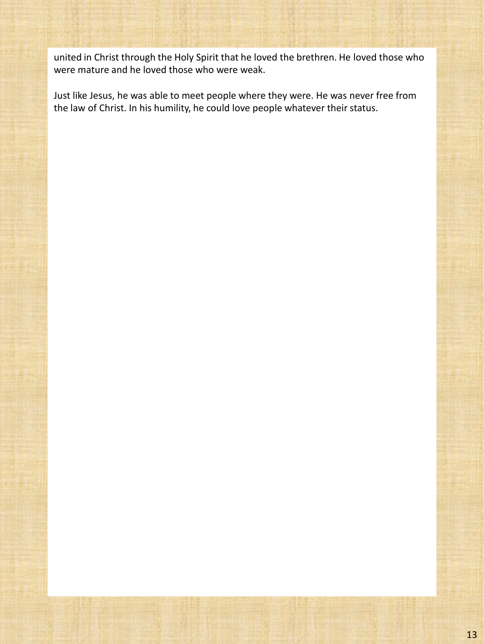united in Christ through the Holy Spirit that he loved the brethren. He loved those who were mature and he loved those who were weak.

Just like Jesus, he was able to meet people where they were. He was never free from the law of Christ. In his humility, he could love people whatever their status.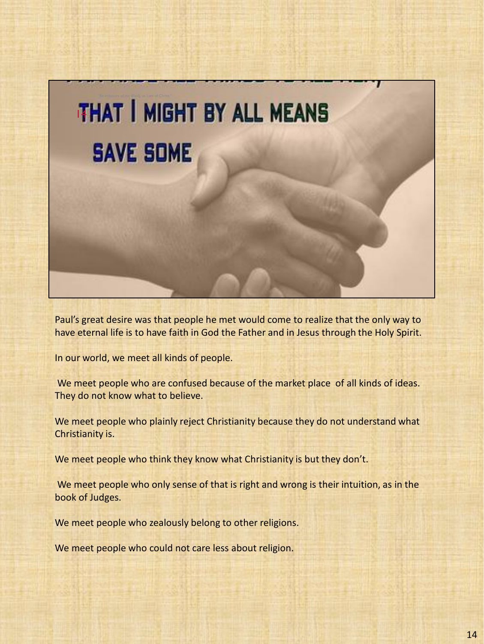

Paul's great desire was that people he met would come to realize that the only way to have eternal life is to have faith in God the Father and in Jesus through the Holy Spirit.

In our world, we meet all kinds of people.

We meet people who are confused because of the market place of all kinds of ideas. They do not know what to believe.

We meet people who plainly reject Christianity because they do not understand what Christianity is.

We meet people who think they know what Christianity is but they don't.

We meet people who only sense of that is right and wrong is their intuition, as in the book of Judges.

We meet people who zealously belong to other religions.

We meet people who could not care less about religion.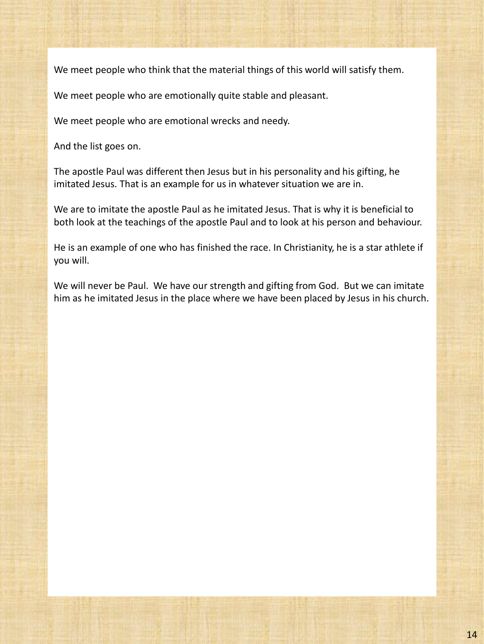We meet people who think that the material things of this world will satisfy them.

We meet people who are emotionally quite stable and pleasant.

We meet people who are emotional wrecks and needy.

And the list goes on.

The apostle Paul was different then Jesus but in his personality and his gifting, he imitated Jesus. That is an example for us in whatever situation we are in.

We are to imitate the apostle Paul as he imitated Jesus. That is why it is beneficial to both look at the teachings of the apostle Paul and to look at his person and behaviour.

He is an example of one who has finished the race. In Christianity, he is a star athlete if you will.

We will never be Paul. We have our strength and gifting from God. But we can imitate him as he imitated Jesus in the place where we have been placed by Jesus in his church.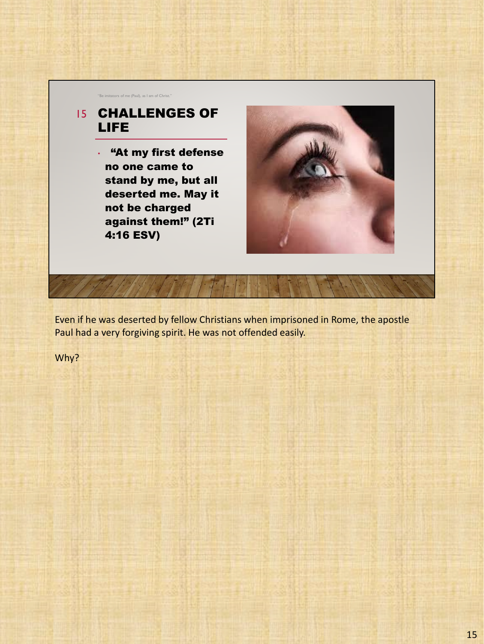

Even if he was deserted by fellow Christians when imprisoned in Rome, the apostle Paul had a very forgiving spirit. He was not offended easily.

Why?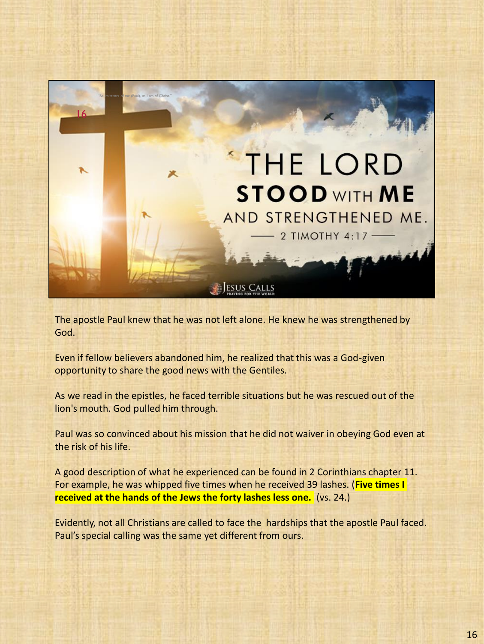

The apostle Paul knew that he was not left alone. He knew he was strengthened by God.

Even if fellow believers abandoned him, he realized that this was a God-given opportunity to share the good news with the Gentiles.

As we read in the epistles, he faced terrible situations but he was rescued out of the lion's mouth. God pulled him through.

Paul was so convinced about his mission that he did not waiver in obeying God even at the risk of his life.

A good description of what he experienced can be found in 2 Corinthians chapter 11. For example, he was whipped five times when he received 39 lashes. (**Five times I received at the hands of the Jews the forty lashes less one.** (vs. 24.)

Evidently, not all Christians are called to face the hardships that the apostle Paul faced. Paul's special calling was the same yet different from ours.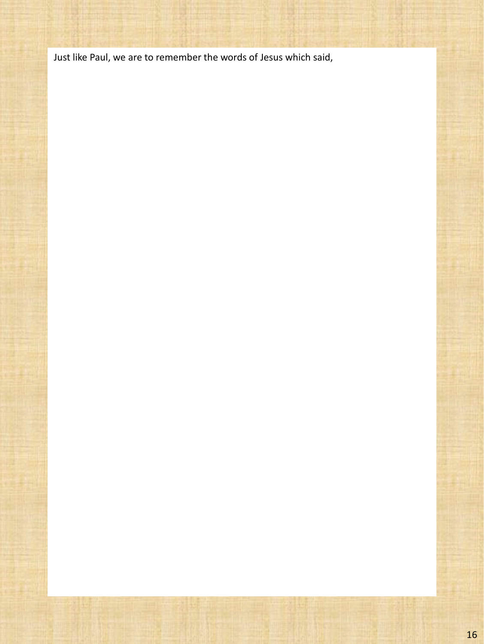Just like Paul, we are to remember the words of Jesus which said,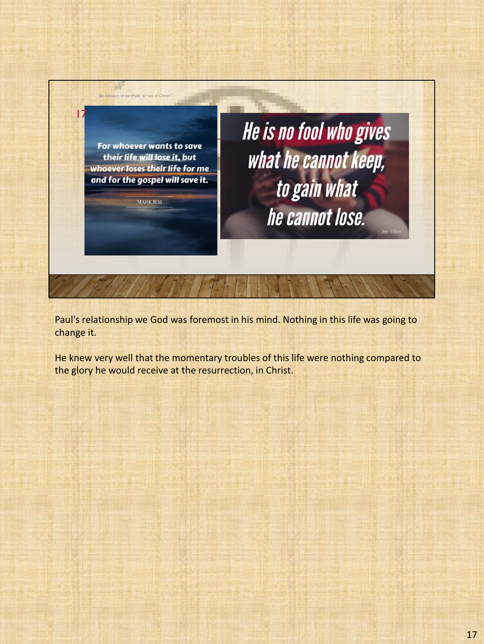

Paul's relationship we God was foremost in his mind. Nothing in this life was going to change it.

He knew very well that the momentary troubles of this life were nothing compared to the glory he would receive at the resurrection, in Christ.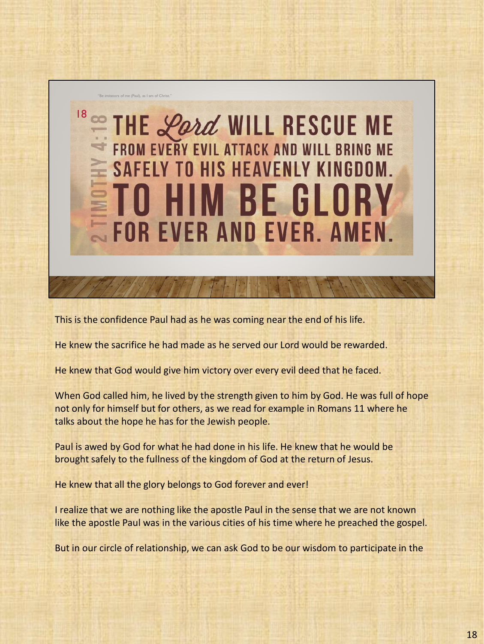

This is the confidence Paul had as he was coming near the end of his life.

He knew the sacrifice he had made as he served our Lord would be rewarded.

He knew that God would give him victory over every evil deed that he faced.

When God called him, he lived by the strength given to him by God. He was full of hope not only for himself but for others, as we read for example in Romans 11 where he talks about the hope he has for the Jewish people.

Paul is awed by God for what he had done in his life. He knew that he would be brought safely to the fullness of the kingdom of God at the return of Jesus.

He knew that all the glory belongs to God forever and ever!

I realize that we are nothing like the apostle Paul in the sense that we are not known like the apostle Paul was in the various cities of his time where he preached the gospel.

But in our circle of relationship, we can ask God to be our wisdom to participate in the